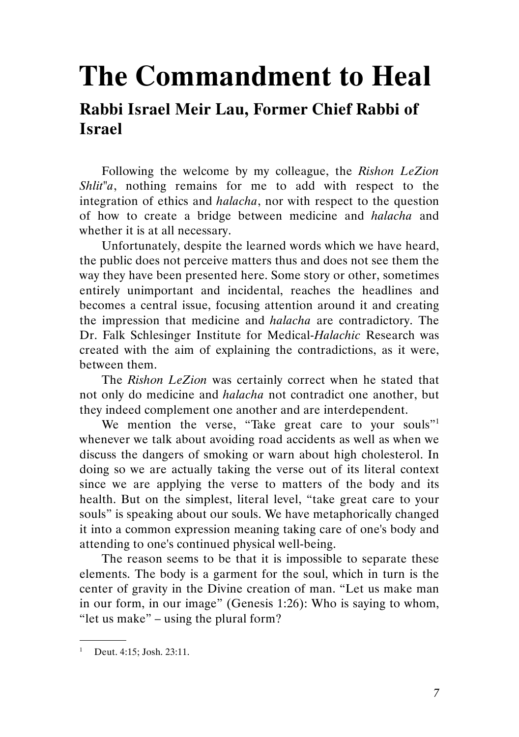## The Commandment to Heal

## Rabbi Israel Meir Lau, Former Chief Rabbi of Israel

Following the welcome by my colleague, the Rishon LeZion Shlit"a, nothing remains for me to add with respect to the integration of ethics and *halacha*, nor with respect to the question of how to create a bridge between medicine and halacha and whether it is at all necessary.

Unfortunately, despite the learned words which we have heard, the public does not perceive matters thus and does not see them the way they have been presented here. Some story or other, sometimes entirely unimportant and incidental, reaches the headlines and becomes a central issue, focusing attention around it and creating the impression that medicine and halacha are contradictory. The Dr. Falk Schlesinger Institute for Medical-Halachic Research was created with the aim of explaining the contradictions, as it were, between them.

The Rishon LeZion was certainly correct when he stated that not only do medicine and halacha not contradict one another, but they indeed complement one another and are interdependent.

We mention the verse, "Take great care to your souls"<sup>1</sup> whenever we talk about avoiding road accidents as well as when we discuss the dangers of smoking or warn about high cholesterol. In doing so we are actually taking the verse out of its literal context since we are applying the verse to matters of the body and its health. But on the simplest, literal level, "take great care to your souls" is speaking about our souls. We have metaphorically changed it into a common expression meaning taking care of one's body and attending to one's continued physical well-being.

The reason seems to be that it is impossible to separate these elements. The body is a garment for the soul, which in turn is the center of gravity in the Divine creation of man. "Let us make man in our form, in our image" (Genesis 1:26): Who is saying to whom, "let us make" – using the plural form?

.

<sup>&</sup>lt;sup>1</sup> Deut. 4:15; Josh. 23:11.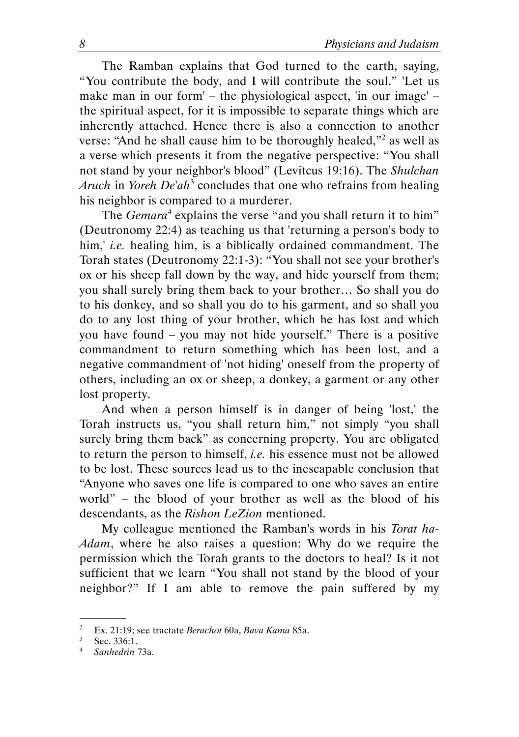The Ramban explains that God turned to the earth, saying, "You contribute the body, and I will contribute the soul." 'Let us make man in our form' – the physiological aspect, 'in our image' – the spiritual aspect, for it is impossible to separate things which are inherently attached. Hence there is also a connection to another verse: "And he shall cause him to be thoroughly healed,"<sup>2</sup> as well as a verse which presents it from the negative perspective: "You shall not stand by your neighbor's blood" (Levitcus 19:16). The Shulchan Aruch in Yoreh De'ah<sup>3</sup> concludes that one who refrains from healing his neighbor is compared to a murderer.

The Gemara<sup>4</sup> explains the verse "and you shall return it to him" (Deutronomy 22:4) as teaching us that 'returning a person's body to him,' *i.e.* healing him, is a biblically ordained commandment. The Torah states (Deutronomy 22:1-3): "You shall not see your brother's ox or his sheep fall down by the way, and hide yourself from them; you shall surely bring them back to your brother… So shall you do to his donkey, and so shall you do to his garment, and so shall you do to any lost thing of your brother, which he has lost and which you have found – you may not hide yourself." There is a positive commandment to return something which has been lost, and a negative commandment of 'not hiding' oneself from the property of others, including an ox or sheep, a donkey, a garment or any other lost property.

And when a person himself is in danger of being 'lost,' the Torah instructs us, "you shall return him," not simply "you shall surely bring them back" as concerning property. You are obligated to return the person to himself, *i.e.* his essence must not be allowed to be lost. These sources lead us to the inescapable conclusion that "Anyone who saves one life is compared to one who saves an entire world" – the blood of your brother as well as the blood of his descendants, as the Rishon LeZion mentioned.

My colleague mentioned the Ramban's words in his Torat ha-Adam, where he also raises a question: Why do we require the permission which the Torah grants to the doctors to heal? Is it not sufficient that we learn "You shall not stand by the blood of your neighbor?" If I am able to remove the pain suffered by my

.

<sup>2</sup> Ex. 21:19; see tractate Berachot 60a, Bava Kama 85a.

 $3^3$  Sec. 336:1.

<sup>4</sup> Sanhedrin 73a.